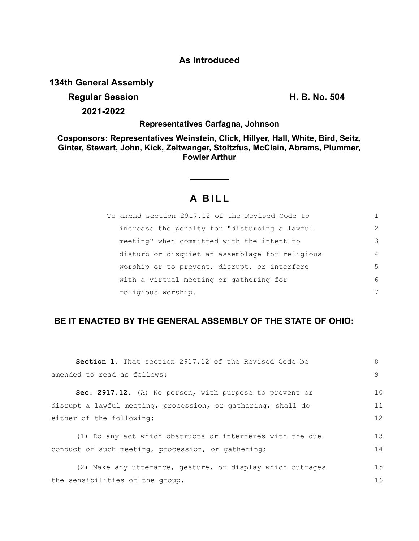### **As Introduced**

## **134th General Assembly**

## **Regular Session H. B. No. 504**

**2021-2022**

#### **Representatives Carfagna, Johnson**

**Cosponsors: Representatives Weinstein, Click, Hillyer, Hall, White, Bird, Seitz, Ginter, Stewart, John, Kick, Zeltwanger, Stoltzfus, McClain, Abrams, Plummer, Fowler Arthur**

# **A B I L L**

| To amend section 2917.12 of the Revised Code to |               |
|-------------------------------------------------|---------------|
| increase the penalty for "disturbing a lawful   | $\mathcal{L}$ |
| meeting" when committed with the intent to      | 3             |
| disturb or disquiet an assemblage for religious | 4             |
| worship or to prevent, disrupt, or interfere    | 5             |
| with a virtual meeting or gathering for         | 6             |
| religious worship.                              | 7             |

# **BE IT ENACTED BY THE GENERAL ASSEMBLY OF THE STATE OF OHIO:**

| <b>Section 1.</b> That section 2917.12 of the Revised Code be | 8  |
|---------------------------------------------------------------|----|
| amended to read as follows:                                   | 9  |
| Sec. 2917.12. (A) No person, with purpose to prevent or       | 10 |
| disrupt a lawful meeting, procession, or gathering, shall do  | 11 |
| either of the following:                                      | 12 |
| (1) Do any act which obstructs or interferes with the due     | 13 |
| conduct of such meeting, procession, or gathering;            | 14 |
| (2) Make any utterance, gesture, or display which outrages    | 15 |
| the sensibilities of the group.                               | 16 |